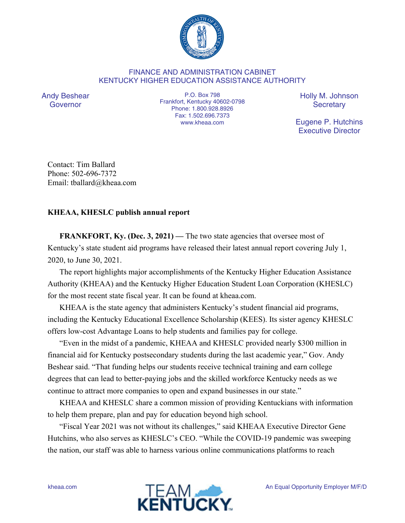

## FINANCE AND ADMINISTRATION CABINET KENTUCKY HIGHER EDUCATION ASSISTANCE AUTHORITY

Andy Beshear Governor

P.O. Box 798 Frankfort, Kentucky 40602-0798 Phone: 1.800.928.8926 Fax: 1.502.696.7373 www.kheaa.com

Holly M. Johnson **Secretary** 

Eugene P. Hutchins Executive Director

Contact: Tim Ballard Phone: 502-696-7372 Email: tballard@kheaa.com

## **KHEAA, KHESLC publish annual report**

**FRANKFORT, Ky. (Dec. 3, 2021)** — The two state agencies that oversee most of Kentucky's state student aid programs have released their latest annual report covering July 1, 2020, to June 30, 2021.

The report highlights major accomplishments of the Kentucky Higher Education Assistance Authority (KHEAA) and the Kentucky Higher Education Student Loan Corporation (KHESLC) for the most recent state fiscal year. It can be found at kheaa.com.

KHEAA is the state agency that administers Kentucky's student financial aid programs, including the Kentucky Educational Excellence Scholarship (KEES). Its sister agency KHESLC offers low-cost Advantage Loans to help students and families pay for college.

"Even in the midst of a pandemic, KHEAA and KHESLC provided nearly \$300 million in financial aid for Kentucky postsecondary students during the last academic year," Gov. Andy Beshear said. "That funding helps our students receive technical training and earn college degrees that can lead to better-paying jobs and the skilled workforce Kentucky needs as we continue to attract more companies to open and expand businesses in our state."

KHEAA and KHESLC share a common mission of providing Kentuckians with information to help them prepare, plan and pay for education beyond high school.

"Fiscal Year 2021 was not without its challenges," said KHEAA Executive Director Gene Hutchins, who also serves as KHESLC's CEO. "While the COVID-19 pandemic was sweeping the nation, our staff was able to harness various online communications platforms to reach